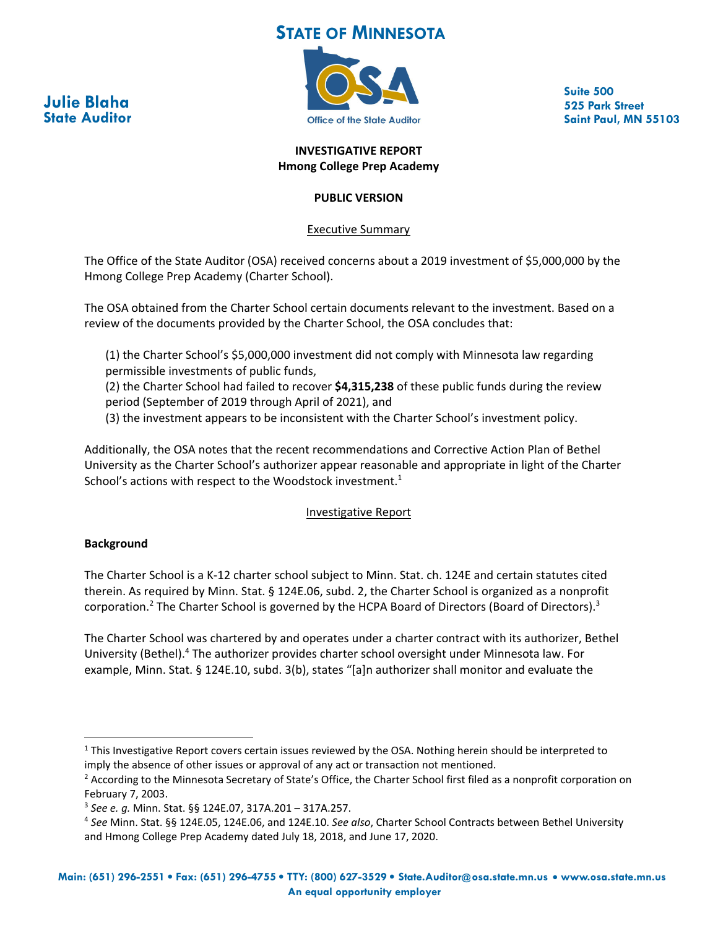# **STATE OF MINNESOTA**





**Suite 500 525 Park Street Saint Paul, MN 55103**

#### **INVESTIGATIVE REPORT Hmong College Prep Academy**

## **PUBLIC VERSION**

Executive Summary

The Office of the State Auditor (OSA) received concerns about a 2019 investment of \$5,000,000 by the Hmong College Prep Academy (Charter School).

The OSA obtained from the Charter School certain documents relevant to the investment. Based on a review of the documents provided by the Charter School, the OSA concludes that:

(1) the Charter School's \$5,000,000 investment did not comply with Minnesota law regarding permissible investments of public funds,

(2) the Charter School had failed to recover **\$4,315,238** of these public funds during the review period (September of 2019 through April of 2021), and

(3) the investment appears to be inconsistent with the Charter School's investment policy.

Additionally, the OSA notes that the recent recommendations and Corrective Action Plan of Bethel University as the Charter School's authorizer appear reasonable and appropriate in light of the Charter School's actions with respect to the Woodstock investment.<sup>1</sup>

## Investigative Report

## **Background**

The Charter School is a K‐12 charter school subject to Minn. Stat. ch. 124E and certain statutes cited therein. As required by Minn. Stat. § 124E.06, subd. 2, the Charter School is organized as a nonprofit corporation.<sup>2</sup> The Charter School is governed by the HCPA Board of Directors (Board of Directors).<sup>3</sup>

The Charter School was chartered by and operates under a charter contract with its authorizer, Bethel University (Bethel).4 The authorizer provides charter school oversight under Minnesota law. For example, Minn. Stat. § 124E.10, subd. 3(b), states "[a]n authorizer shall monitor and evaluate the

<sup>&</sup>lt;sup>1</sup> This Investigative Report covers certain issues reviewed by the OSA. Nothing herein should be interpreted to imply the absence of other issues or approval of any act or transaction not mentioned.

<sup>&</sup>lt;sup>2</sup> According to the Minnesota Secretary of State's Office, the Charter School first filed as a nonprofit corporation on February 7, 2003.

<sup>3</sup> *See e. g.* Minn. Stat. §§ 124E.07, 317A.201 – 317A.257.

<sup>4</sup> *See* Minn. Stat. §§ 124E.05, 124E.06, and 124E.10. *See also*, Charter School Contracts between Bethel University and Hmong College Prep Academy dated July 18, 2018, and June 17, 2020.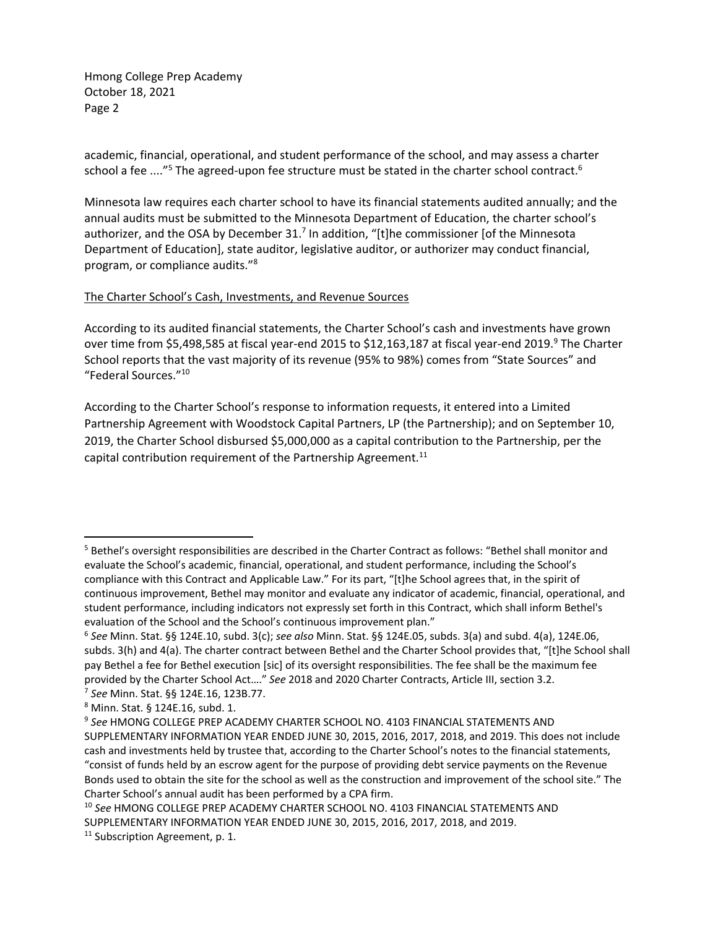academic, financial, operational, and student performance of the school, and may assess a charter school a fee ...."<sup>5</sup> The agreed-upon fee structure must be stated in the charter school contract.<sup>6</sup>

Minnesota law requires each charter school to have its financial statements audited annually; and the annual audits must be submitted to the Minnesota Department of Education, the charter school's authorizer, and the OSA by December 31.<sup>7</sup> In addition, "[t]he commissioner [of the Minnesota Department of Education], state auditor, legislative auditor, or authorizer may conduct financial, program, or compliance audits."8

#### The Charter School's Cash, Investments, and Revenue Sources

According to its audited financial statements, the Charter School's cash and investments have grown over time from \$5,498,585 at fiscal year-end 2015 to \$12,163,187 at fiscal year-end 2019.<sup>9</sup> The Charter School reports that the vast majority of its revenue (95% to 98%) comes from "State Sources" and "Federal Sources."10

According to the Charter School's response to information requests, it entered into a Limited Partnership Agreement with Woodstock Capital Partners, LP (the Partnership); and on September 10, 2019, the Charter School disbursed \$5,000,000 as a capital contribution to the Partnership, per the capital contribution requirement of the Partnership Agreement.<sup>11</sup>

<sup>5</sup> Bethel's oversight responsibilities are described in the Charter Contract as follows: "Bethel shall monitor and evaluate the School's academic, financial, operational, and student performance, including the School's compliance with this Contract and Applicable Law." For its part, "[t]he School agrees that, in the spirit of continuous improvement, Bethel may monitor and evaluate any indicator of academic, financial, operational, and student performance, including indicators not expressly set forth in this Contract, which shall inform Bethel's evaluation of the School and the School's continuous improvement plan."

<sup>6</sup> *See* Minn. Stat. §§ 124E.10, subd. 3(c); *see also* Minn. Stat. §§ 124E.05, subds. 3(a) and subd. 4(a), 124E.06, subds. 3(h) and 4(a). The charter contract between Bethel and the Charter School provides that, "[t]he School shall pay Bethel a fee for Bethel execution [sic] of its oversight responsibilities. The fee shall be the maximum fee provided by the Charter School Act…." *See* 2018 and 2020 Charter Contracts, Article III, section 3.2.

<sup>7</sup> *See* Minn. Stat. §§ 124E.16, 123B.77.

<sup>8</sup> Minn. Stat. § 124E.16, subd. 1.

<sup>9</sup> *See* HMONG COLLEGE PREP ACADEMY CHARTER SCHOOL NO. 4103 FINANCIAL STATEMENTS AND SUPPLEMENTARY INFORMATION YEAR ENDED JUNE 30, 2015, 2016, 2017, 2018, and 2019. This does not include cash and investments held by trustee that, according to the Charter School's notes to the financial statements, "consist of funds held by an escrow agent for the purpose of providing debt service payments on the Revenue Bonds used to obtain the site for the school as well as the construction and improvement of the school site." The Charter School's annual audit has been performed by a CPA firm.

<sup>10</sup> *See* HMONG COLLEGE PREP ACADEMY CHARTER SCHOOL NO. 4103 FINANCIAL STATEMENTS AND SUPPLEMENTARY INFORMATION YEAR ENDED JUNE 30, 2015, 2016, 2017, 2018, and 2019.

<sup>&</sup>lt;sup>11</sup> Subscription Agreement, p. 1.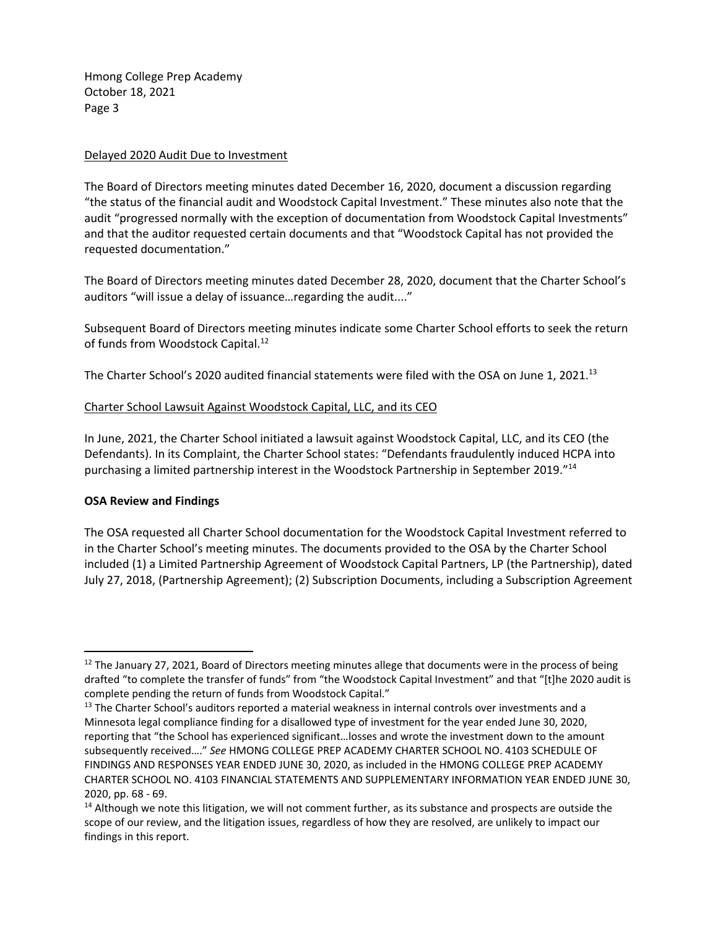#### Delayed 2020 Audit Due to Investment

The Board of Directors meeting minutes dated December 16, 2020, document a discussion regarding "the status of the financial audit and Woodstock Capital Investment." These minutes also note that the audit "progressed normally with the exception of documentation from Woodstock Capital Investments" and that the auditor requested certain documents and that "Woodstock Capital has not provided the requested documentation."

The Board of Directors meeting minutes dated December 28, 2020, document that the Charter School's auditors "will issue a delay of issuance…regarding the audit...."

Subsequent Board of Directors meeting minutes indicate some Charter School efforts to seek the return of funds from Woodstock Capital.<sup>12</sup>

The Charter School's 2020 audited financial statements were filed with the OSA on June 1, 2021.<sup>13</sup>

#### Charter School Lawsuit Against Woodstock Capital, LLC, and its CEO

In June, 2021, the Charter School initiated a lawsuit against Woodstock Capital, LLC, and its CEO (the Defendants). In its Complaint, the Charter School states: "Defendants fraudulently induced HCPA into purchasing a limited partnership interest in the Woodstock Partnership in September 2019."14

#### **OSA Review and Findings**

The OSA requested all Charter School documentation for the Woodstock Capital Investment referred to in the Charter School's meeting minutes. The documents provided to the OSA by the Charter School included (1) a Limited Partnership Agreement of Woodstock Capital Partners, LP (the Partnership), dated July 27, 2018, (Partnership Agreement); (2) Subscription Documents, including a Subscription Agreement

<sup>&</sup>lt;sup>12</sup> The January 27, 2021, Board of Directors meeting minutes allege that documents were in the process of being drafted "to complete the transfer of funds" from "the Woodstock Capital Investment" and that "[t]he 2020 audit is complete pending the return of funds from Woodstock Capital."

<sup>&</sup>lt;sup>13</sup> The Charter School's auditors reported a material weakness in internal controls over investments and a Minnesota legal compliance finding for a disallowed type of investment for the year ended June 30, 2020, reporting that "the School has experienced significant…losses and wrote the investment down to the amount subsequently received…." *See* HMONG COLLEGE PREP ACADEMY CHARTER SCHOOL NO. 4103 SCHEDULE OF FINDINGS AND RESPONSES YEAR ENDED JUNE 30, 2020, as included in the HMONG COLLEGE PREP ACADEMY CHARTER SCHOOL NO. 4103 FINANCIAL STATEMENTS AND SUPPLEMENTARY INFORMATION YEAR ENDED JUNE 30, 2020, pp. 68 ‐ 69.

<sup>&</sup>lt;sup>14</sup> Although we note this litigation, we will not comment further, as its substance and prospects are outside the scope of our review, and the litigation issues, regardless of how they are resolved, are unlikely to impact our findings in this report.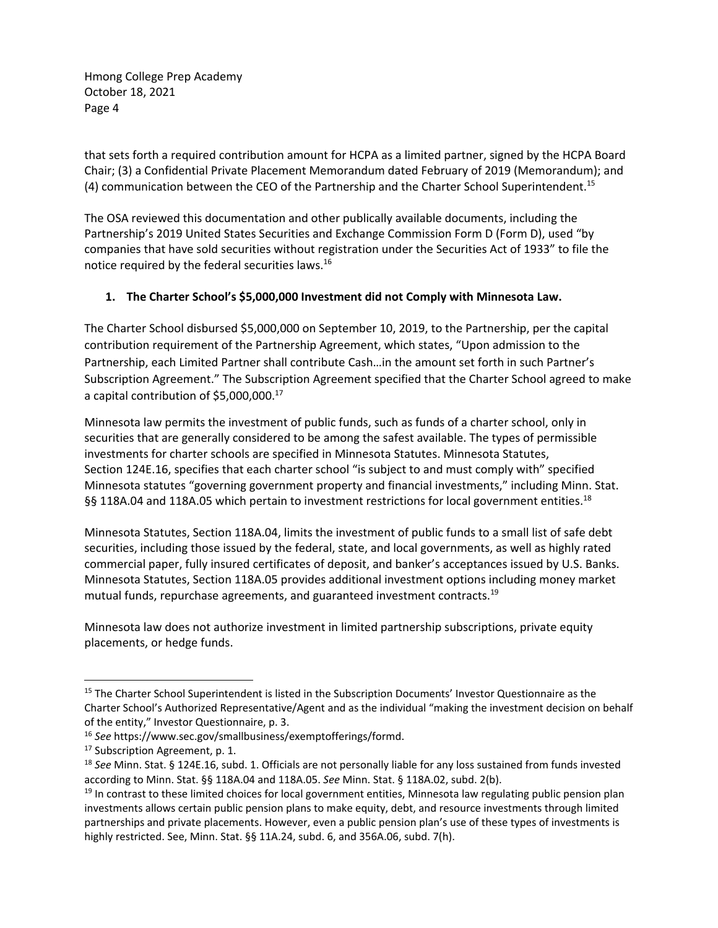that sets forth a required contribution amount for HCPA as a limited partner, signed by the HCPA Board Chair; (3) a Confidential Private Placement Memorandum dated February of 2019 (Memorandum); and (4) communication between the CEO of the Partnership and the Charter School Superintendent.<sup>15</sup>

The OSA reviewed this documentation and other publically available documents, including the Partnership's 2019 United States Securities and Exchange Commission Form D (Form D), used "by companies that have sold securities without registration under the Securities Act of 1933" to file the notice required by the federal securities laws.16

## **1. The Charter School's \$5,000,000 Investment did not Comply with Minnesota Law.**

The Charter School disbursed \$5,000,000 on September 10, 2019, to the Partnership, per the capital contribution requirement of the Partnership Agreement, which states, "Upon admission to the Partnership, each Limited Partner shall contribute Cash…in the amount set forth in such Partner's Subscription Agreement." The Subscription Agreement specified that the Charter School agreed to make a capital contribution of \$5,000,000.17

Minnesota law permits the investment of public funds, such as funds of a charter school, only in securities that are generally considered to be among the safest available. The types of permissible investments for charter schools are specified in Minnesota Statutes. Minnesota Statutes, Section 124E.16, specifies that each charter school "is subject to and must comply with" specified Minnesota statutes "governing government property and financial investments," including Minn. Stat. §§ 118A.04 and 118A.05 which pertain to investment restrictions for local government entities.<sup>18</sup>

Minnesota Statutes, Section 118A.04, limits the investment of public funds to a small list of safe debt securities, including those issued by the federal, state, and local governments, as well as highly rated commercial paper, fully insured certificates of deposit, and banker's acceptances issued by U.S. Banks. Minnesota Statutes, Section 118A.05 provides additional investment options including money market mutual funds, repurchase agreements, and guaranteed investment contracts.<sup>19</sup>

Minnesota law does not authorize investment in limited partnership subscriptions, private equity placements, or hedge funds.

<sup>&</sup>lt;sup>15</sup> The Charter School Superintendent is listed in the Subscription Documents' Investor Questionnaire as the Charter School's Authorized Representative/Agent and as the individual "making the investment decision on behalf of the entity," Investor Questionnaire, p. 3.

<sup>16</sup> *See* https://www.sec.gov/smallbusiness/exemptofferings/formd.

<sup>&</sup>lt;sup>17</sup> Subscription Agreement, p. 1.

<sup>18</sup> *See* Minn. Stat. § 124E.16, subd. 1. Officials are not personally liable for any loss sustained from funds invested according to Minn. Stat. §§ 118A.04 and 118A.05. *See* Minn. Stat. § 118A.02, subd. 2(b).

 $19$  In contrast to these limited choices for local government entities, Minnesota law regulating public pension plan investments allows certain public pension plans to make equity, debt, and resource investments through limited partnerships and private placements. However, even a public pension plan's use of these types of investments is highly restricted. See, Minn. Stat. §§ 11A.24, subd. 6, and 356A.06, subd. 7(h).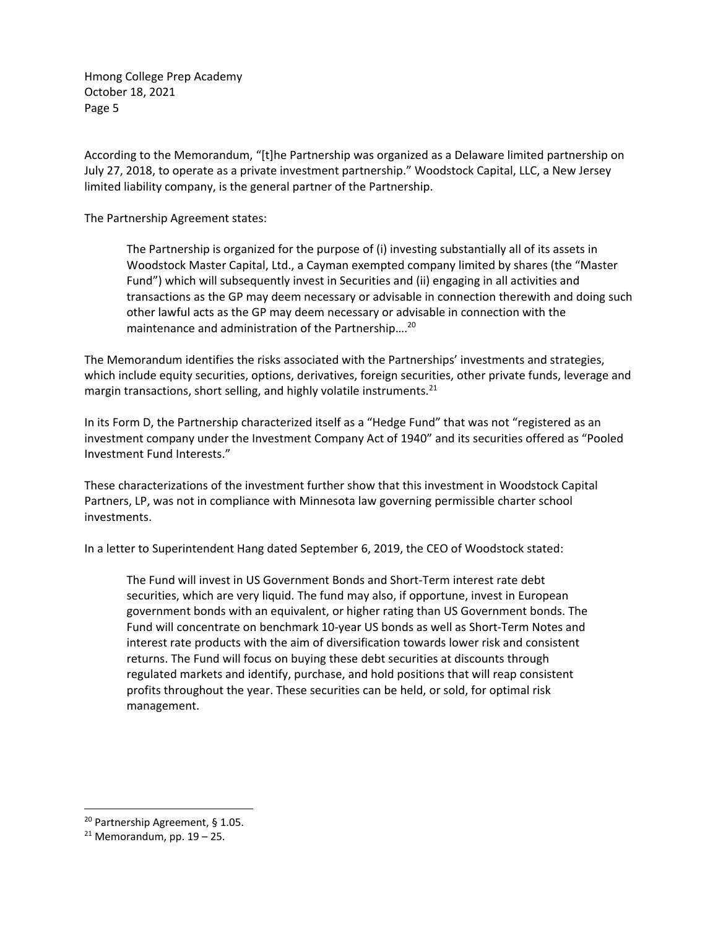According to the Memorandum, "[t]he Partnership was organized as a Delaware limited partnership on July 27, 2018, to operate as a private investment partnership." Woodstock Capital, LLC, a New Jersey limited liability company, is the general partner of the Partnership.

The Partnership Agreement states:

The Partnership is organized for the purpose of (i) investing substantially all of its assets in Woodstock Master Capital, Ltd., a Cayman exempted company limited by shares (the "Master Fund") which will subsequently invest in Securities and (ii) engaging in all activities and transactions as the GP may deem necessary or advisable in connection therewith and doing such other lawful acts as the GP may deem necessary or advisable in connection with the maintenance and administration of the Partnership....<sup>20</sup>

The Memorandum identifies the risks associated with the Partnerships' investments and strategies, which include equity securities, options, derivatives, foreign securities, other private funds, leverage and margin transactions, short selling, and highly volatile instruments.<sup>21</sup>

In its Form D, the Partnership characterized itself as a "Hedge Fund" that was not "registered as an investment company under the Investment Company Act of 1940" and its securities offered as "Pooled Investment Fund Interests."

These characterizations of the investment further show that this investment in Woodstock Capital Partners, LP, was not in compliance with Minnesota law governing permissible charter school investments.

In a letter to Superintendent Hang dated September 6, 2019, the CEO of Woodstock stated:

The Fund will invest in US Government Bonds and Short‐Term interest rate debt securities, which are very liquid. The fund may also, if opportune, invest in European government bonds with an equivalent, or higher rating than US Government bonds. The Fund will concentrate on benchmark 10‐year US bonds as well as Short‐Term Notes and interest rate products with the aim of diversification towards lower risk and consistent returns. The Fund will focus on buying these debt securities at discounts through regulated markets and identify, purchase, and hold positions that will reap consistent profits throughout the year. These securities can be held, or sold, for optimal risk management.

 <sup>20</sup> Partnership Agreement, § 1.05.

 $21$  Memorandum, pp.  $19 - 25$ .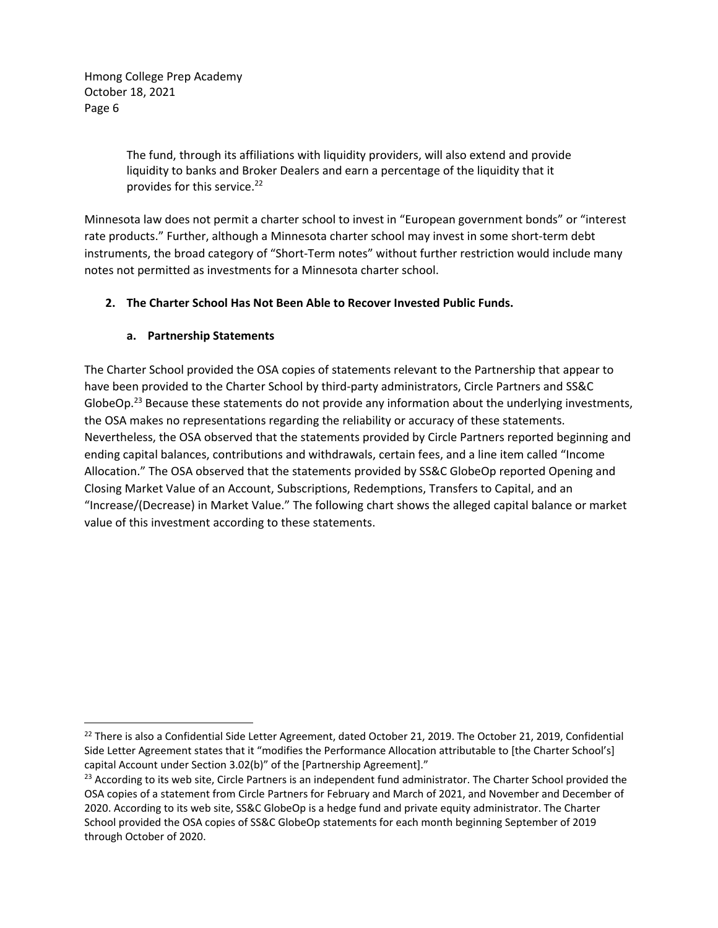> The fund, through its affiliations with liquidity providers, will also extend and provide liquidity to banks and Broker Dealers and earn a percentage of the liquidity that it provides for this service.<sup>22</sup>

Minnesota law does not permit a charter school to invest in "European government bonds" or "interest rate products." Further, although a Minnesota charter school may invest in some short-term debt instruments, the broad category of "Short‐Term notes" without further restriction would include many notes not permitted as investments for a Minnesota charter school.

# **2. The Charter School Has Not Been Able to Recover Invested Public Funds.**

## **a. Partnership Statements**

The Charter School provided the OSA copies of statements relevant to the Partnership that appear to have been provided to the Charter School by third‐party administrators, Circle Partners and SS&C GlobeOp.<sup>23</sup> Because these statements do not provide any information about the underlying investments, the OSA makes no representations regarding the reliability or accuracy of these statements. Nevertheless, the OSA observed that the statements provided by Circle Partners reported beginning and ending capital balances, contributions and withdrawals, certain fees, and a line item called "Income Allocation." The OSA observed that the statements provided by SS&C GlobeOp reported Opening and Closing Market Value of an Account, Subscriptions, Redemptions, Transfers to Capital, and an "Increase/(Decrease) in Market Value." The following chart shows the alleged capital balance or market value of this investment according to these statements.

 $^{22}$  There is also a Confidential Side Letter Agreement, dated October 21, 2019. The October 21, 2019, Confidential Side Letter Agreement states that it "modifies the Performance Allocation attributable to [the Charter School's] capital Account under Section 3.02(b)" of the [Partnership Agreement]."

<sup>&</sup>lt;sup>23</sup> According to its web site, Circle Partners is an independent fund administrator. The Charter School provided the OSA copies of a statement from Circle Partners for February and March of 2021, and November and December of 2020. According to its web site, SS&C GlobeOp is a hedge fund and private equity administrator. The Charter School provided the OSA copies of SS&C GlobeOp statements for each month beginning September of 2019 through October of 2020.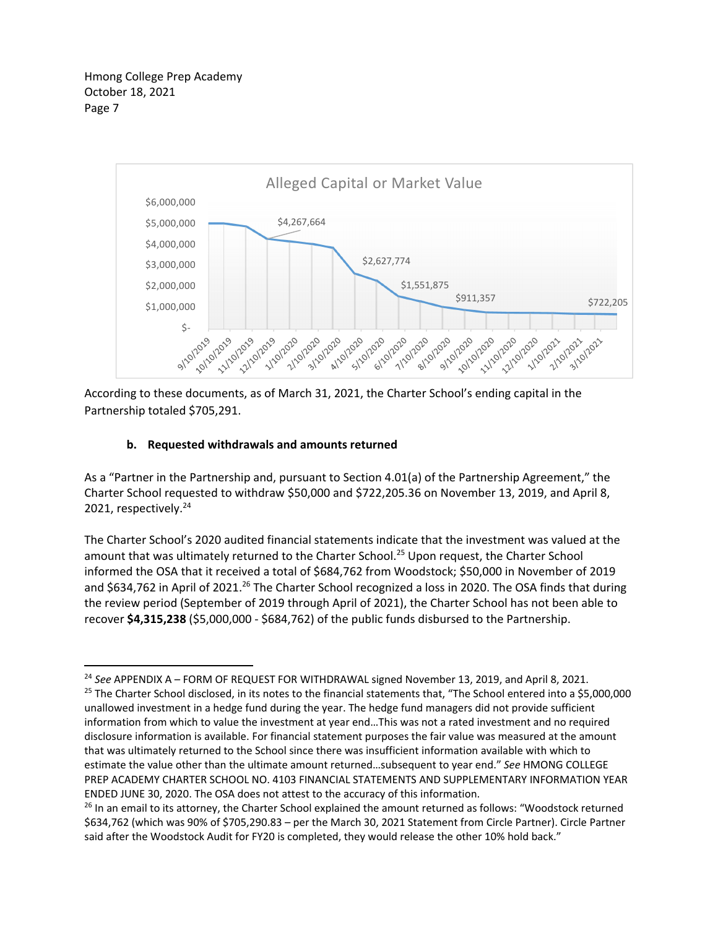

According to these documents, as of March 31, 2021, the Charter School's ending capital in the Partnership totaled \$705,291.

## **b. Requested withdrawals and amounts returned**

As a "Partner in the Partnership and, pursuant to Section 4.01(a) of the Partnership Agreement," the Charter School requested to withdraw \$50,000 and \$722,205.36 on November 13, 2019, and April 8, 2021, respectively.<sup>24</sup>

The Charter School's 2020 audited financial statements indicate that the investment was valued at the amount that was ultimately returned to the Charter School.<sup>25</sup> Upon request, the Charter School informed the OSA that it received a total of \$684,762 from Woodstock; \$50,000 in November of 2019 and \$634,762 in April of 2021.<sup>26</sup> The Charter School recognized a loss in 2020. The OSA finds that during the review period (September of 2019 through April of 2021), the Charter School has not been able to recover **\$4,315,238** (\$5,000,000 ‐ \$684,762) of the public funds disbursed to the Partnership.

 <sup>24</sup> *See* APPENDIX A – FORM OF REQUEST FOR WITHDRAWAL signed November 13, 2019, and April 8, 2021.  $25$  The Charter School disclosed, in its notes to the financial statements that, "The School entered into a \$5,000,000 unallowed investment in a hedge fund during the year. The hedge fund managers did not provide sufficient information from which to value the investment at year end…This was not a rated investment and no required disclosure information is available. For financial statement purposes the fair value was measured at the amount that was ultimately returned to the School since there was insufficient information available with which to estimate the value other than the ultimate amount returned…subsequent to year end." *See* HMONG COLLEGE PREP ACADEMY CHARTER SCHOOL NO. 4103 FINANCIAL STATEMENTS AND SUPPLEMENTARY INFORMATION YEAR ENDED JUNE 30, 2020. The OSA does not attest to the accuracy of this information.

<sup>&</sup>lt;sup>26</sup> In an email to its attorney, the Charter School explained the amount returned as follows: "Woodstock returned \$634,762 (which was 90% of \$705,290.83 – per the March 30, 2021 Statement from Circle Partner). Circle Partner said after the Woodstock Audit for FY20 is completed, they would release the other 10% hold back."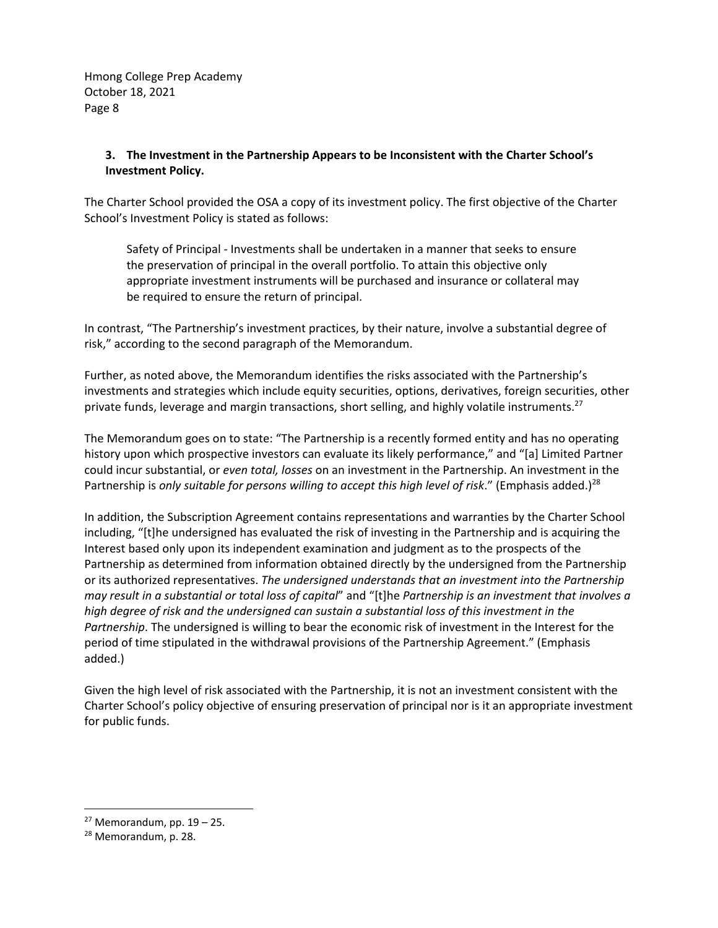## **3. The Investment in the Partnership Appears to be Inconsistent with the Charter School's Investment Policy.**

The Charter School provided the OSA a copy of its investment policy. The first objective of the Charter School's Investment Policy is stated as follows:

Safety of Principal ‐ Investments shall be undertaken in a manner that seeks to ensure the preservation of principal in the overall portfolio. To attain this objective only appropriate investment instruments will be purchased and insurance or collateral may be required to ensure the return of principal.

In contrast, "The Partnership's investment practices, by their nature, involve a substantial degree of risk," according to the second paragraph of the Memorandum.

Further, as noted above, the Memorandum identifies the risks associated with the Partnership's investments and strategies which include equity securities, options, derivatives, foreign securities, other private funds, leverage and margin transactions, short selling, and highly volatile instruments.<sup>27</sup>

The Memorandum goes on to state: "The Partnership is a recently formed entity and has no operating history upon which prospective investors can evaluate its likely performance," and "[a] Limited Partner could incur substantial, or *even total, losses* on an investment in the Partnership. An investment in the Partnership is *only suitable for persons willing to accept this high level of risk*." (Emphasis added.)28

In addition, the Subscription Agreement contains representations and warranties by the Charter School including, "[t]he undersigned has evaluated the risk of investing in the Partnership and is acquiring the Interest based only upon its independent examination and judgment as to the prospects of the Partnership as determined from information obtained directly by the undersigned from the Partnership or its authorized representatives. *The undersigned understands that an investment into the Partnership* may result in a substantial or total loss of capital" and "[t]he Partnership is an investment that involves a *high degree of risk and the undersigned can sustain a substantial loss of this investment in the Partnership*. The undersigned is willing to bear the economic risk of investment in the Interest for the period of time stipulated in the withdrawal provisions of the Partnership Agreement." (Emphasis added.)

Given the high level of risk associated with the Partnership, it is not an investment consistent with the Charter School's policy objective of ensuring preservation of principal nor is it an appropriate investment for public funds.

 $27$  Memorandum, pp.  $19 - 25$ .

<sup>28</sup> Memorandum, p. 28.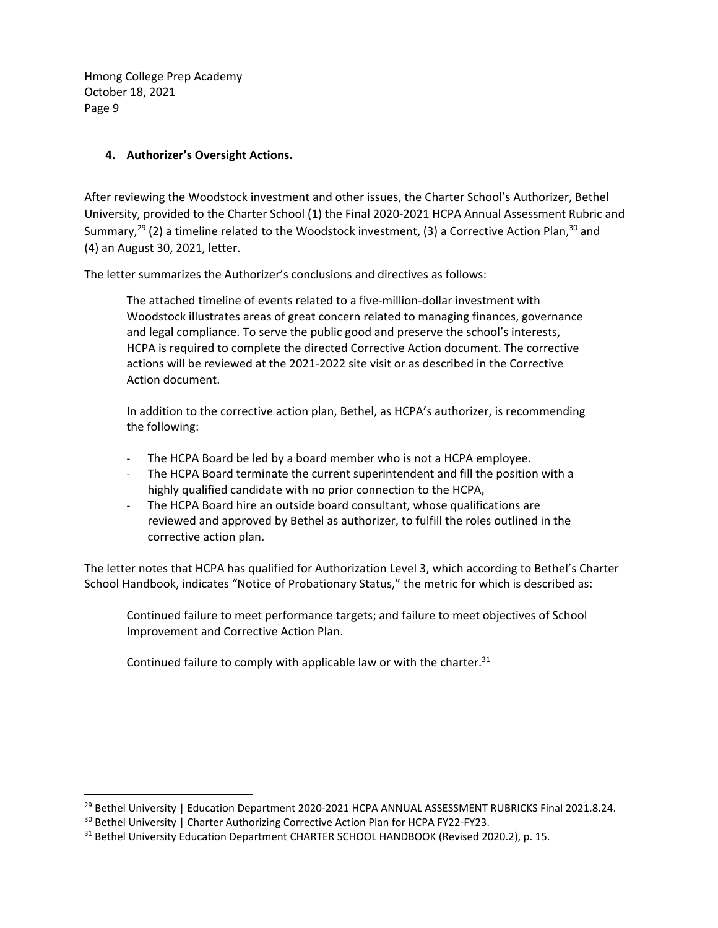## **4. Authorizer's Oversight Actions.**

After reviewing the Woodstock investment and other issues, the Charter School's Authorizer, Bethel University, provided to the Charter School (1) the Final 2020‐2021 HCPA Annual Assessment Rubric and Summary,<sup>29</sup> (2) a timeline related to the Woodstock investment, (3) a Corrective Action Plan,<sup>30</sup> and (4) an August 30, 2021, letter.

The letter summarizes the Authorizer's conclusions and directives as follows:

The attached timeline of events related to a five-million-dollar investment with Woodstock illustrates areas of great concern related to managing finances, governance and legal compliance. To serve the public good and preserve the school's interests, HCPA is required to complete the directed Corrective Action document. The corrective actions will be reviewed at the 2021‐2022 site visit or as described in the Corrective Action document.

In addition to the corrective action plan, Bethel, as HCPA's authorizer, is recommending the following:

- ‐ The HCPA Board be led by a board member who is not a HCPA employee.
- The HCPA Board terminate the current superintendent and fill the position with a highly qualified candidate with no prior connection to the HCPA,
- The HCPA Board hire an outside board consultant, whose qualifications are reviewed and approved by Bethel as authorizer, to fulfill the roles outlined in the corrective action plan.

The letter notes that HCPA has qualified for Authorization Level 3, which according to Bethel's Charter School Handbook, indicates "Notice of Probationary Status," the metric for which is described as:

Continued failure to meet performance targets; and failure to meet objectives of School Improvement and Corrective Action Plan.

Continued failure to comply with applicable law or with the charter. $31$ 

<sup>&</sup>lt;sup>29</sup> Bethel University | Education Department 2020-2021 HCPA ANNUAL ASSESSMENT RUBRICKS Final 2021.8.24.

<sup>30</sup> Bethel University | Charter Authorizing Corrective Action Plan for HCPA FY22-FY23.

<sup>&</sup>lt;sup>31</sup> Bethel University Education Department CHARTER SCHOOL HANDBOOK (Revised 2020.2), p. 15.